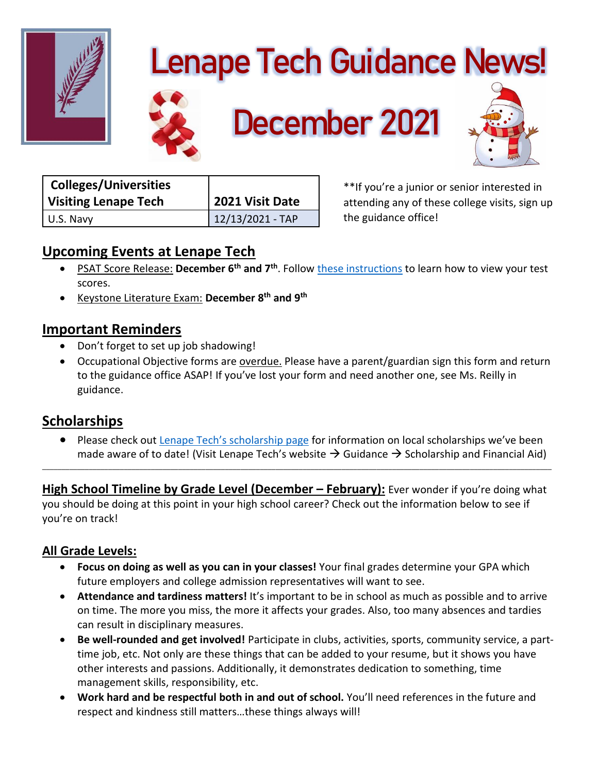

# **Lenape Tech Guidance News!**



 **December 2021**



| <b>Colleges/Universities</b> |                  |
|------------------------------|------------------|
| Visiting Lenape Tech         | 2021 Visit Date  |
| U.S. Navy                    | 12/13/2021 - TAP |

\*\*If you're a junior or senior interested in attending any of these college visits, sign up the guidance office!

# **Upcoming Events at Lenape Tech**

- **•** PSAT Score Release: December 6<sup>th</sup> and 7<sup>th</sup>. Follow [these instructions](https://image.e.collegeboard.org/lib/fe3d15707564047b751077/m/2/e6ca3c18-375a-4e44-91dc-ee9aaa9c0a06.pdf?SFMC_cid=EM622714-&rid=29372337) to learn how to view your test scores.
- Keystone Literature Exam: **December 8th and 9th**

## **Important Reminders**

- Don't forget to set up job shadowing!
- Occupational Objective forms are overdue. Please have a parent/guardian sign this form and return to the guidance office ASAP! If you've lost your form and need another one, see Ms. Reilly in guidance.

## **Scholarships**

• Please check out [Lenape Tech's scholarship page](http://www.lenape.k12.pa.us/4/Content2/guidscholar) for information on local scholarships we've been made aware of to date! (Visit Lenape Tech's website  $\rightarrow$  Guidance  $\rightarrow$  Scholarship and Financial Aid)

**High School Timeline by Grade Level (December – February):** Ever wonder if you're doing what you should be doing at this point in your high school career? Check out the information below to see if you're on track!

\_\_\_\_\_\_\_\_\_\_\_\_\_\_\_\_\_\_\_\_\_\_\_\_\_\_\_\_\_\_\_\_\_\_\_\_\_\_\_\_\_\_\_\_\_\_\_\_\_\_\_\_\_\_\_\_\_\_\_\_\_\_\_\_\_\_\_\_\_\_\_\_\_\_\_\_\_\_\_\_\_\_\_\_\_\_\_\_\_\_\_\_\_\_\_\_\_\_\_\_\_\_\_\_\_\_\_\_\_\_\_\_\_\_\_\_\_\_\_\_\_\_\_\_\_\_\_\_\_\_\_

## **All Grade Levels:**

- **Focus on doing as well as you can in your classes!** Your final grades determine your GPA which future employers and college admission representatives will want to see.
- **Attendance and tardiness matters!** It's important to be in school as much as possible and to arrive on time. The more you miss, the more it affects your grades. Also, too many absences and tardies can result in disciplinary measures.
- **Be well-rounded and get involved!** Participate in clubs, activities, sports, community service, a parttime job, etc. Not only are these things that can be added to your resume, but it shows you have other interests and passions. Additionally, it demonstrates dedication to something, time management skills, responsibility, etc.
- **Work hard and be respectful both in and out of school.** You'll need references in the future and respect and kindness still matters…these things always will!